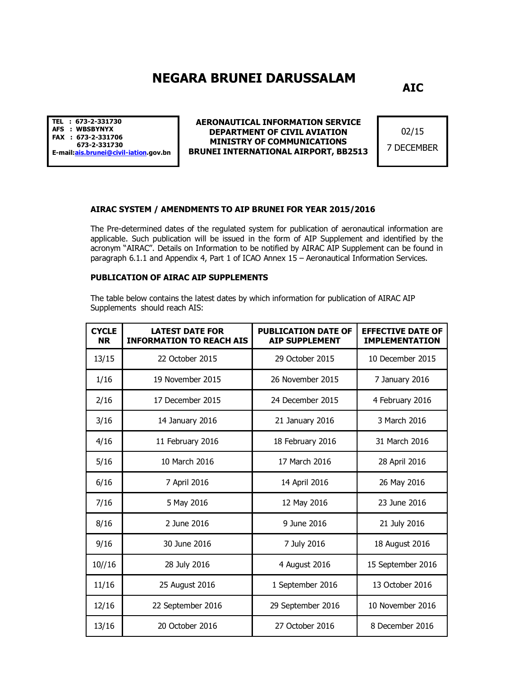## **NEGARA BRUNEI DARUSSALAM**

**AIC**

**TEL : 673-2-331730 AFS : WBSBYNYX FAX : 673-2-331706 673-2-331730 E-mail:ais.brunei@civil-iation.gov.bn** 

**AERONAUTICAL INFORMATION SERVICE DEPARTMENT OF CIVIL AVIATION MINISTRY OF COMMUNICATIONS BRUNEI INTERNATIONAL AIRPORT, BB2513**

02/15 7 DECEMBER

## **AIRAC SYSTEM / AMENDMENTS TO AIP BRUNEI FOR YEAR 2015/2016**

The Pre-determined dates of the regulated system for publication of aeronautical information are applicable. Such publication will be issued in the form of AIP Supplement and identified by the acronym "AIRAC". Details on Information to be notified by AIRAC AIP Supplement can be found in paragraph 6.1.1 and Appendix 4, Part 1 of ICAO Annex 15 – Aeronautical Information Services.

## **PUBLICATION OF AIRAC AIP SUPPLEMENTS**

The table below contains the latest dates by which information for publication of AIRAC AIP Supplements should reach AIS:

| <b>CYCLE</b><br><b>NR</b> | <b>LATEST DATE FOR</b><br><b>INFORMATION TO REACH AIS</b> | <b>PUBLICATION DATE OF</b><br><b>AIP SUPPLEMENT</b> | <b>EFFECTIVE DATE OF</b><br><b>IMPLEMENTATION</b> |
|---------------------------|-----------------------------------------------------------|-----------------------------------------------------|---------------------------------------------------|
| 13/15                     | 22 October 2015                                           | 29 October 2015                                     | 10 December 2015                                  |
| 1/16                      | 19 November 2015                                          | 26 November 2015                                    | 7 January 2016                                    |
| 2/16                      | 17 December 2015                                          | 24 December 2015                                    | 4 February 2016                                   |
| 3/16                      | 14 January 2016                                           | 21 January 2016                                     | 3 March 2016                                      |
| 4/16                      | 11 February 2016                                          | 18 February 2016                                    | 31 March 2016                                     |
| 5/16                      | 10 March 2016                                             | 17 March 2016                                       | 28 April 2016                                     |
| 6/16                      | 7 April 2016                                              | 14 April 2016                                       | 26 May 2016                                       |
| 7/16                      | 5 May 2016                                                | 12 May 2016                                         | 23 June 2016                                      |
| 8/16                      | 2 June 2016                                               | 9 June 2016                                         | 21 July 2016                                      |
| 9/16                      | 30 June 2016                                              | 7 July 2016                                         | 18 August 2016                                    |
| 10//16                    | 28 July 2016                                              | 4 August 2016                                       | 15 September 2016                                 |
| 11/16                     | 25 August 2016                                            | 1 September 2016                                    | 13 October 2016                                   |
| 12/16                     | 22 September 2016                                         | 29 September 2016                                   | 10 November 2016                                  |
| 13/16                     | 20 October 2016                                           | 27 October 2016                                     | 8 December 2016                                   |